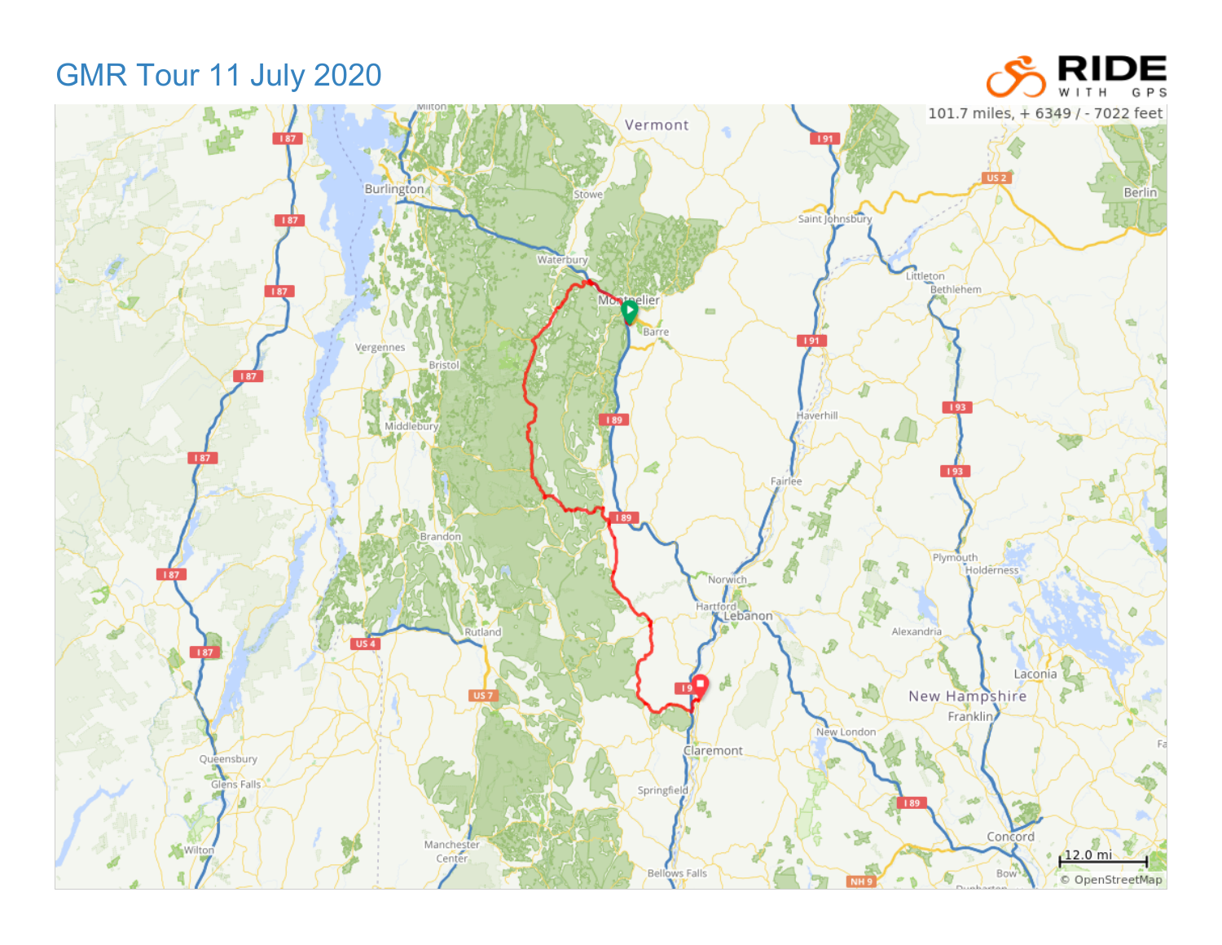GMR Tour 11 July 2020